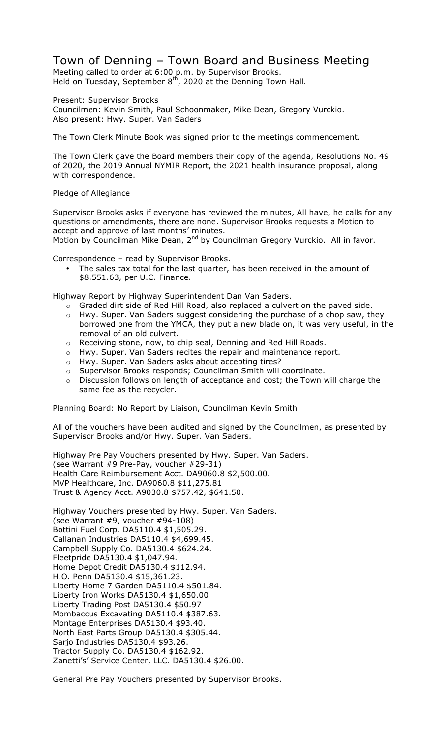## Town of Denning – Town Board and Business Meeting

Meeting called to order at 6:00 p.m. by Supervisor Brooks. Held on Tuesday, September  $8<sup>th</sup>$ , 2020 at the Denning Town Hall.

Present: Supervisor Brooks Councilmen: Kevin Smith, Paul Schoonmaker, Mike Dean, Gregory Vurckio. Also present: Hwy. Super. Van Saders

The Town Clerk Minute Book was signed prior to the meetings commencement.

The Town Clerk gave the Board members their copy of the agenda, Resolutions No. 49 of 2020, the 2019 Annual NYMIR Report, the 2021 health insurance proposal, along with correspondence.

## Pledge of Allegiance

Supervisor Brooks asks if everyone has reviewed the minutes, All have, he calls for any questions or amendments, there are none. Supervisor Brooks requests a Motion to accept and approve of last months' minutes.

Motion by Councilman Mike Dean, 2<sup>nd</sup> by Councilman Gregory Vurckio. All in favor.

Correspondence – read by Supervisor Brooks.

The sales tax total for the last quarter, has been received in the amount of \$8,551.63, per U.C. Finance.

Highway Report by Highway Superintendent Dan Van Saders.

- o Graded dirt side of Red Hill Road, also replaced a culvert on the paved side.
- o Hwy. Super. Van Saders suggest considering the purchase of a chop saw, they borrowed one from the YMCA, they put a new blade on, it was very useful, in the removal of an old culvert.
- o Receiving stone, now, to chip seal, Denning and Red Hill Roads.
- o Hwy. Super. Van Saders recites the repair and maintenance report.
- o Hwy. Super. Van Saders asks about accepting tires?
- o Supervisor Brooks responds; Councilman Smith will coordinate.
- o Discussion follows on length of acceptance and cost; the Town will charge the same fee as the recycler.

Planning Board: No Report by Liaison, Councilman Kevin Smith

All of the vouchers have been audited and signed by the Councilmen, as presented by Supervisor Brooks and/or Hwy. Super. Van Saders.

Highway Pre Pay Vouchers presented by Hwy. Super. Van Saders. (see Warrant #9 Pre-Pay, voucher #29-31) Health Care Reimbursement Acct. DA9060.8 \$2,500.00. MVP Healthcare, Inc. DA9060.8 \$11,275.81 Trust & Agency Acct. A9030.8 \$757.42, \$641.50.

Highway Vouchers presented by Hwy. Super. Van Saders. (see Warrant #9, voucher #94-108) Bottini Fuel Corp. DA5110.4 \$1,505.29. Callanan Industries DA5110.4 \$4,699.45. Campbell Supply Co. DA5130.4 \$624.24. Fleetpride DA5130.4 \$1,047.94. Home Depot Credit DA5130.4 \$112.94. H.O. Penn DA5130.4 \$15,361.23. Liberty Home 7 Garden DA5110.4 \$501.84. Liberty Iron Works DA5130.4 \$1,650.00 Liberty Trading Post DA5130.4 \$50.97 Mombaccus Excavating DA5110.4 \$387.63. Montage Enterprises DA5130.4 \$93.40. North East Parts Group DA5130.4 \$305.44. Sarjo Industries DA5130.4 \$93.26. Tractor Supply Co. DA5130.4 \$162.92. Zanetti's' Service Center, LLC. DA5130.4 \$26.00.

General Pre Pay Vouchers presented by Supervisor Brooks.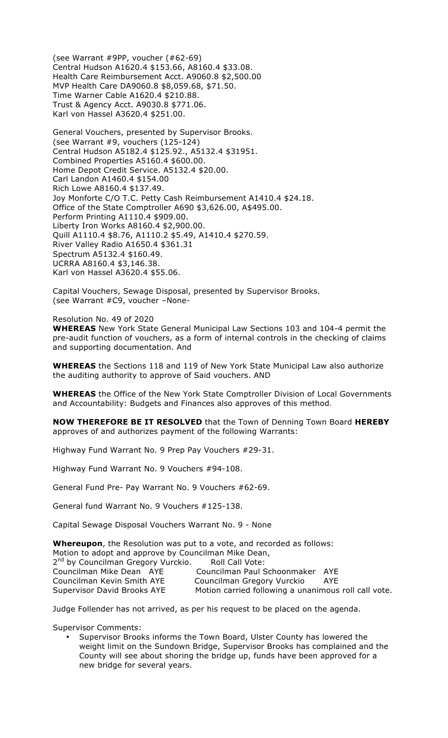(see Warrant #9PP, voucher (#62-69) Central Hudson A1620.4 \$153.66, A8160.4 \$33.08. Health Care Reimbursement Acct. A9060.8 \$2,500.00 MVP Health Care DA9060.8 \$8,059.68, \$71.50. Time Warner Cable A1620.4 \$210.88. Trust & Agency Acct. A9030.8 \$771.06. Karl von Hassel A3620.4 \$251.00.

General Vouchers, presented by Supervisor Brooks. (see Warrant #9, vouchers (125-124) Central Hudson A5182.4 \$125.92., A5132.4 \$31951. Combined Properties A5160.4 \$600.00. Home Depot Credit Service. A5132.4 \$20.00. Carl Landon A1460.4 \$154.00 Rich Lowe A8160.4 \$137.49. Joy Monforte C/O T.C. Petty Cash Reimbursement A1410.4 \$24.18. Office of the State Comptroller A690 \$3,626.00, A\$495.00. Perform Printing A1110.4 \$909.00. Liberty Iron Works A8160.4 \$2,900.00. Quill A1110.4 \$8.76, A1110.2 \$5.49, A1410.4 \$270.59. River Valley Radio A1650.4 \$361.31 Spectrum A5132.4 \$160.49. UCRRA A8160.4 \$3,146.38. Karl von Hassel A3620.4 \$55.06.

Capital Vouchers, Sewage Disposal, presented by Supervisor Brooks. (see Warrant #C9, voucher –None-

Resolution No. 49 of 2020 **WHEREAS** New York State General Municipal Law Sections 103 and 104-4 permit the pre-audit function of vouchers, as a form of internal controls in the checking of claims and supporting documentation. And

**WHEREAS** the Sections 118 and 119 of New York State Municipal Law also authorize the auditing authority to approve of Said vouchers. AND

**WHEREAS** the Office of the New York State Comptroller Division of Local Governments and Accountability: Budgets and Finances also approves of this method.

**NOW THEREFORE BE IT RESOLVED** that the Town of Denning Town Board **HEREBY** approves of and authorizes payment of the following Warrants:

Highway Fund Warrant No. 9 Prep Pay Vouchers #29-31.

Highway Fund Warrant No. 9 Vouchers #94-108.

General Fund Pre- Pay Warrant No. 9 Vouchers #62-69.

General fund Warrant No. 9 Vouchers #125-138.

Capital Sewage Disposal Vouchers Warrant No. 9 - None

**Whereupon**, the Resolution was put to a vote, and recorded as follows: Motion to adopt and approve by Councilman Mike Dean, 2<sup>nd</sup> by Councilman Gregory Vurckio. Roll Call Vote: Councilman Mike Dean AYE Councilman Paul Schoonmaker AYE Councilman Kevin Smith AYE Councilman Gregory Vurckio AYE Supervisor David Brooks AYE Motion carried following a unanimous roll call vote.

Judge Follender has not arrived, as per his request to be placed on the agenda.

Supervisor Comments:

• Supervisor Brooks informs the Town Board, Ulster County has lowered the weight limit on the Sundown Bridge, Supervisor Brooks has complained and the County will see about shoring the bridge up, funds have been approved for a new bridge for several years.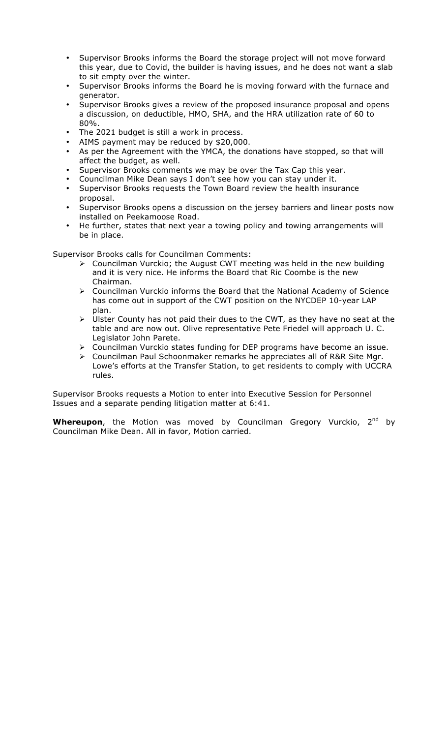- Supervisor Brooks informs the Board the storage project will not move forward this year, due to Covid, the builder is having issues, and he does not want a slab to sit empty over the winter.
- Supervisor Brooks informs the Board he is moving forward with the furnace and generator.
- Supervisor Brooks gives a review of the proposed insurance proposal and opens a discussion, on deductible, HMO, SHA, and the HRA utilization rate of 60 to 80%.
- The 2021 budget is still a work in process.
- AIMS payment may be reduced by \$20,000.
- As per the Agreement with the YMCA, the donations have stopped, so that will affect the budget, as well.
- Supervisor Brooks comments we may be over the Tax Cap this year.
- Councilman Mike Dean says I don't see how you can stay under it.
- Supervisor Brooks requests the Town Board review the health insurance proposal.
- Supervisor Brooks opens a discussion on the jersey barriers and linear posts now installed on Peekamoose Road.
- He further, states that next year a towing policy and towing arrangements will be in place.

Supervisor Brooks calls for Councilman Comments:

- $\triangleright$  Councilman Vurckio; the August CWT meeting was held in the new building and it is very nice. He informs the Board that Ric Coombe is the new Chairman.
- $\triangleright$  Councilman Vurckio informs the Board that the National Academy of Science has come out in support of the CWT position on the NYCDEP 10-year LAP plan.
- $\triangleright$  Ulster County has not paid their dues to the CWT, as they have no seat at the table and are now out. Olive representative Pete Friedel will approach U. C. Legislator John Parete.
- $\triangleright$  Councilman Vurckio states funding for DEP programs have become an issue.
- ! Councilman Paul Schoonmaker remarks he appreciates all of R&R Site Mgr. Lowe's efforts at the Transfer Station, to get residents to comply with UCCRA rules.

Supervisor Brooks requests a Motion to enter into Executive Session for Personnel Issues and a separate pending litigation matter at 6:41.

**Whereupon**, the Motion was moved by Councilman Gregory Vurckio, 2<sup>nd</sup> by Councilman Mike Dean. All in favor, Motion carried.